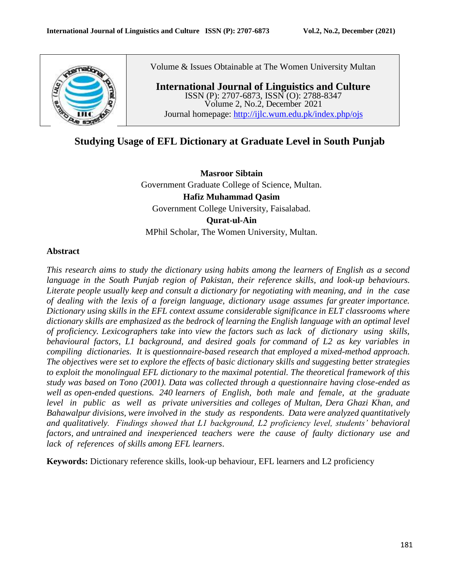

Volume & Issues Obtainable at The Women University Multan

**International Journal of Linguistics and Culture** ISSN (P): 2707-6873, ISSN (O): 2788-8347 Volume 2, No.2, December 2021 Journal homepage:<http://ijlc.wum.edu.pk/index.php/ojs>

# **Studying Usage of EFL Dictionary at Graduate Level in South Punjab**

**Masroor Sibtain** Government Graduate College of Science, Multan. **Hafiz Muhammad Qasim** Government College University, Faisalabad. **Qurat-ul-Ain** MPhil Scholar, The Women University, Multan.

### **Abstract**

*This research aims to study the dictionary using habits among the learners of English as a second language in the South Punjab region of Pakistan, their reference skills, and look-up behaviours. Literate people usually keep and consult a dictionary for negotiating with meaning, and in the case of dealing with the lexis of a foreign language, dictionary usage assumes far greater importance. Dictionary using skills in the EFL context assume considerable significance in ELT classrooms where dictionary skills are emphasized as the bedrock of learning the English language with an optimal level of proficiency. Lexicographers take into view the factors such as lack of dictionary using skills, behavioural factors, L1 background, and desired goals for command of L2 as key variables in compiling dictionaries. It is questionnaire-based research that employed a mixed-method approach. The objectives were set to explore the effects of basic dictionary skills and suggesting better strategies to exploit the monolingual EFL dictionary to the maximal potential. The theoretical framework of this study was based on Tono (2001). Data was collected through a questionnaire having close-ended as well as open-ended questions. 240 learners of English, both male and female, at the graduate level in public as well as private universities and colleges of Multan, Dera Ghazi Khan, and Bahawalpur divisions, were involved in the study as respondents. Data were analyzed quantitatively and qualitatively. Findings showed that L1 background, L2 proficiency level, students' behavioral factors, and untrained and inexperienced teachers were the cause of faulty dictionary use and lack of references of skills among EFL learners*.

**Keywords:** Dictionary reference skills, look-up behaviour, EFL learners and L2 proficiency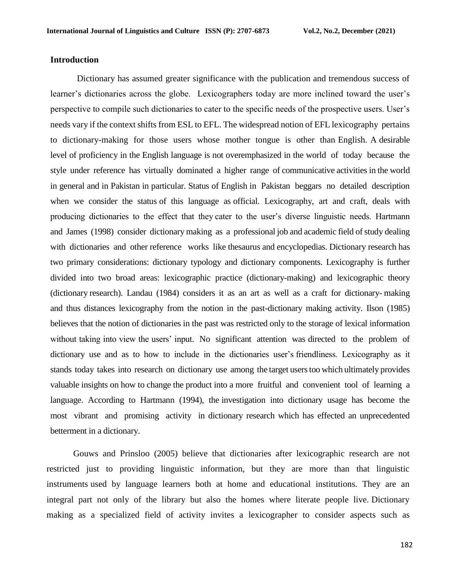#### **Introduction**

Dictionary has assumed greater significance with the publication and tremendous success of learner's dictionaries across the globe. Lexicographers today are more inclined toward the user's perspective to compile such dictionaries to cater to the specific needs of the prospective users. User's needs vary if the context shifts from ESL to EFL. The widespread notion of EFL lexicography pertains to dictionary-making for those users whose mother tongue is other than English. A desirable level of proficiency in the English language is not overemphasized in the world of today because the style under reference has virtually dominated a higher range of communicative activities in the world in general and in Pakistan in particular. Status of English in Pakistan beggars no detailed description when we consider the status of this language as official. Lexicography, art and craft, deals with producing dictionaries to the effect that they cater to the user's diverse linguistic needs. Hartmann and James (1998) consider dictionary making as a professional job and academic field of study dealing with dictionaries and other reference works like thesaurus and encyclopedias. Dictionary research has two primary considerations: dictionary typology and dictionary components. Lexicography is further divided into two broad areas: lexicographic practice (dictionary-making) and lexicographic theory (dictionary research). Landau (1984) considers it as an art as well as a craft for dictionary- making and thus distances lexicography from the notion in the past-dictionary making activity. Ilson (1985) believes that the notion of dictionaries in the past was restricted only to the storage of lexical information without taking into view the users' input. No significant attention was directed to the problem of dictionary use and as to how to include in the dictionaries user's friendliness. Lexicography as it stands today takes into research on dictionary use among the target users too which ultimately provides valuable insights on how to change the product into a more fruitful and convenient tool of learning a language. According to Hartmann (1994), the investigation into dictionary usage has become the most vibrant and promising activity in dictionary research which has effected an unprecedented betterment in a dictionary.

Gouws and Prinsloo (2005) believe that dictionaries after lexicographic research are not restricted just to providing linguistic information, but they are more than that linguistic instruments used by language learners both at home and educational institutions. They are an integral part not only of the library but also the homes where literate people live. Dictionary making as a specialized field of activity invites a lexicographer to consider aspects such as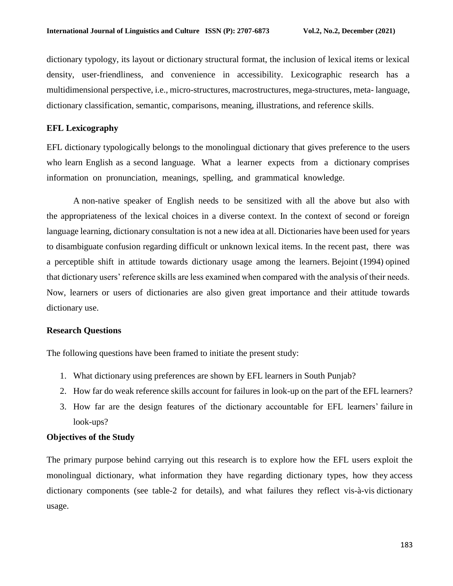dictionary typology, its layout or dictionary structural format, the inclusion of lexical items or lexical density, user-friendliness, and convenience in accessibility. Lexicographic research has a multidimensional perspective, i.e., micro-structures, macrostructures, mega-structures, meta- language, dictionary classification, semantic, comparisons, meaning, illustrations, and reference skills.

### **EFL Lexicography**

EFL dictionary typologically belongs to the monolingual dictionary that gives preference to the users who learn English as a second language. What a learner expects from a dictionary comprises information on pronunciation, meanings, spelling, and grammatical knowledge.

A non-native speaker of English needs to be sensitized with all the above but also with the appropriateness of the lexical choices in a diverse context. In the context of second or foreign language learning, dictionary consultation is not a new idea at all. Dictionaries have been used for years to disambiguate confusion regarding difficult or unknown lexical items. In the recent past, there was a perceptible shift in attitude towards dictionary usage among the learners. Bejoint (1994) opined that dictionary users' reference skills are less examined when compared with the analysis of their needs. Now, learners or users of dictionaries are also given great importance and their attitude towards dictionary use.

### **Research Questions**

The following questions have been framed to initiate the present study:

- 1. What dictionary using preferences are shown by EFL learners in South Punjab?
- 2. How far do weak reference skills account for failures in look-up on the part of the EFL learners?
- 3. How far are the design features of the dictionary accountable for EFL learners' failure in look-ups?

### **Objectives of the Study**

The primary purpose behind carrying out this research is to explore how the EFL users exploit the monolingual dictionary, what information they have regarding dictionary types, how they access dictionary components (see table-2 for details), and what failures they reflect vis-à-vis dictionary usage.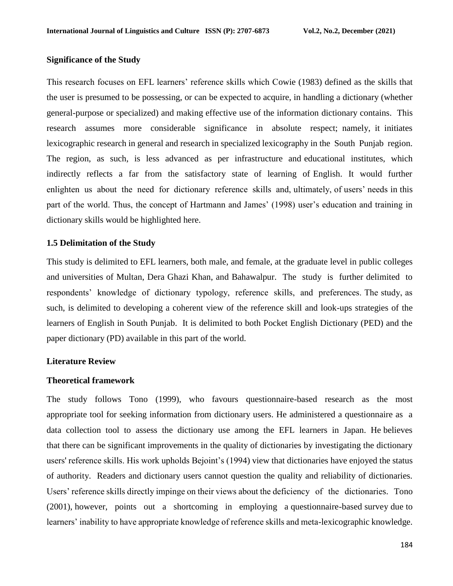#### **Significance of the Study**

This research focuses on EFL learners' reference skills which Cowie (1983) defined as the skills that the user is presumed to be possessing, or can be expected to acquire, in handling a dictionary (whether general-purpose or specialized) and making effective use of the information dictionary contains. This research assumes more considerable significance in absolute respect; namely, it initiates lexicographic research in general and research in specialized lexicography in the South Punjab region. The region, as such, is less advanced as per infrastructure and educational institutes, which indirectly reflects a far from the satisfactory state of learning of English. It would further enlighten us about the need for dictionary reference skills and, ultimately, of users' needs in this part of the world. Thus, the concept of Hartmann and James' (1998) user's education and training in dictionary skills would be highlighted here.

#### **1.5 Delimitation of the Study**

This study is delimited to EFL learners, both male, and female, at the graduate level in public colleges and universities of Multan, Dera Ghazi Khan, and Bahawalpur. The study is further delimited to respondents' knowledge of dictionary typology, reference skills, and preferences. The study, as such, is delimited to developing a coherent view of the reference skill and look-ups strategies of the learners of English in South Punjab. It is delimited to both Pocket English Dictionary (PED) and the paper dictionary (PD) available in this part of the world.

#### **Literature Review**

### **Theoretical framework**

The study follows Tono (1999), who favours questionnaire-based research as the most appropriate tool for seeking information from dictionary users. He administered a questionnaire as a data collection tool to assess the dictionary use among the EFL learners in Japan. He believes that there can be significant improvements in the quality of dictionaries by investigating the dictionary users' reference skills. His work upholds Bejoint's (1994) view that dictionaries have enjoyed the status of authority. Readers and dictionary users cannot question the quality and reliability of dictionaries. Users' reference skills directly impinge on their views about the deficiency of the dictionaries. Tono (2001), however, points out a shortcoming in employing a questionnaire-based survey due to learners' inability to have appropriate knowledge of reference skills and meta-lexicographic knowledge.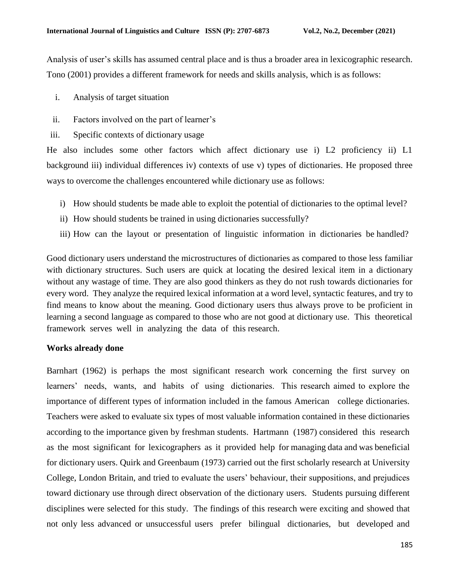Analysis of user's skills has assumed central place and is thus a broader area in lexicographic research. Tono (2001) provides a different framework for needs and skills analysis, which is as follows:

- i. Analysis of target situation
- ii. Factors involved on the part of learner's
- iii. Specific contexts of dictionary usage

He also includes some other factors which affect dictionary use i) L2 proficiency ii) L1 background iii) individual differences iv) contexts of use v) types of dictionaries. He proposed three ways to overcome the challenges encountered while dictionary use as follows:

- i) How should students be made able to exploit the potential of dictionaries to the optimal level?
- ii) How should students be trained in using dictionaries successfully?
- iii) How can the layout or presentation of linguistic information in dictionaries be handled?

Good dictionary users understand the microstructures of dictionaries as compared to those less familiar with dictionary structures. Such users are quick at locating the desired lexical item in a dictionary without any wastage of time. They are also good thinkers as they do not rush towards dictionaries for every word. They analyze the required lexical information at a word level, syntactic features, and try to find means to know about the meaning. Good dictionary users thus always prove to be proficient in learning a second language as compared to those who are not good at dictionary use. This theoretical framework serves well in analyzing the data of this research.

#### **Works already done**

Barnhart (1962) is perhaps the most significant research work concerning the first survey on learners' needs, wants, and habits of using dictionaries. This research aimed to explore the importance of different types of information included in the famous American college dictionaries. Teachers were asked to evaluate six types of most valuable information contained in these dictionaries according to the importance given by freshman students. Hartmann (1987) considered this research as the most significant for lexicographers as it provided help for managing data and was beneficial for dictionary users. Quirk and Greenbaum (1973) carried out the first scholarly research at University College, London Britain, and tried to evaluate the users' behaviour, their suppositions, and prejudices toward dictionary use through direct observation of the dictionary users. Students pursuing different disciplines were selected for this study. The findings of this research were exciting and showed that not only less advanced or unsuccessful users prefer bilingual dictionaries, but developed and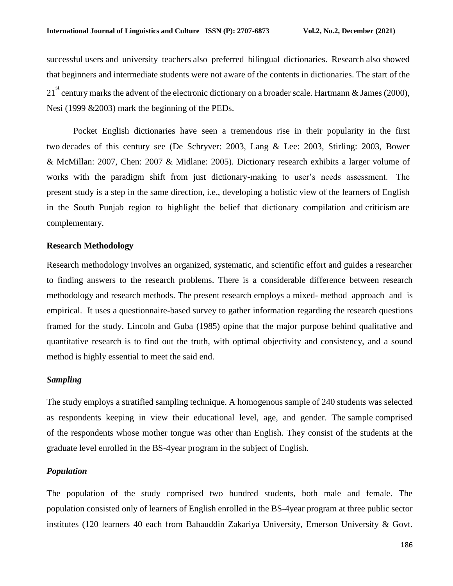successful users and university teachers also preferred bilingual dictionaries. Research also showed that beginners and intermediate students were not aware of the contents in dictionaries. The start of the 21<sup>st</sup> century marks the advent of the electronic dictionary on a broader scale. Hartmann & James (2000), Nesi (1999 &2003) mark the beginning of the PEDs.

Pocket English dictionaries have seen a tremendous rise in their popularity in the first two decades of this century see (De Schryver: 2003, Lang & Lee: 2003, Stirling: 2003, Bower & McMillan: 2007, Chen: 2007 & Midlane: 2005). Dictionary research exhibits a larger volume of works with the paradigm shift from just dictionary-making to user's needs assessment. The present study is a step in the same direction, i.e., developing a holistic view of the learners of English in the South Punjab region to highlight the belief that dictionary compilation and criticism are complementary.

### **Research Methodology**

Research methodology involves an organized, systematic, and scientific effort and guides a researcher to finding answers to the research problems. There is a considerable difference between research methodology and research methods. The present research employs a mixed- method approach and is empirical. It uses a questionnaire-based survey to gather information regarding the research questions framed for the study. Lincoln and Guba (1985) opine that the major purpose behind qualitative and quantitative research is to find out the truth, with optimal objectivity and consistency, and a sound method is highly essential to meet the said end.

### *Sampling*

The study employs a stratified sampling technique. A homogenous sample of 240 students was selected as respondents keeping in view their educational level, age, and gender. The sample comprised of the respondents whose mother tongue was other than English. They consist of the students at the graduate level enrolled in the BS-4year program in the subject of English.

#### *Population*

The population of the study comprised two hundred students, both male and female. The population consisted only of learners of English enrolled in the BS-4year program at three public sector institutes (120 learners 40 each from Bahauddin Zakariya University, Emerson University & Govt.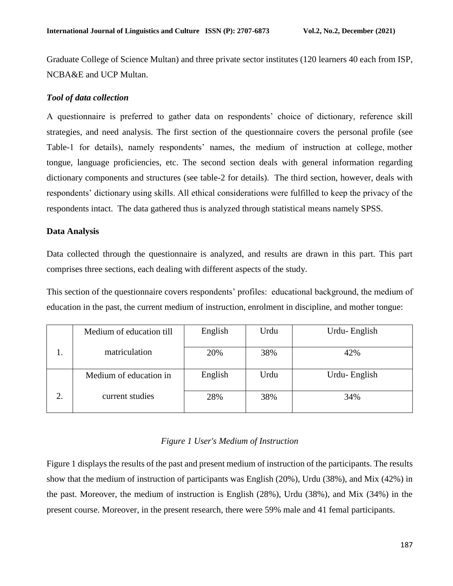Graduate College of Science Multan) and three private sector institutes (120 learners 40 each from ISP, NCBA&E and UCP Multan.

## *Tool of data collection*

A questionnaire is preferred to gather data on respondents' choice of dictionary, reference skill strategies, and need analysis. The first section of the questionnaire covers the personal profile (see Table-1 for details), namely respondents' names, the medium of instruction at college, mother tongue, language proficiencies, etc. The second section deals with general information regarding dictionary components and structures (see table-2 for details). The third section, however, deals with respondents' dictionary using skills. All ethical considerations were fulfilled to keep the privacy of the respondents intact. The data gathered thus is analyzed through statistical means namely SPSS.

### **Data Analysis**

Data collected through the questionnaire is analyzed, and results are drawn in this part. This part comprises three sections, each dealing with different aspects of the study.

This section of the questionnaire covers respondents' profiles: educational background, the medium of education in the past, the current medium of instruction, enrolment in discipline, and mother tongue:

| Medium of education till | English | Urdu | Urdu-English |
|--------------------------|---------|------|--------------|
| matriculation            | 20%     | 38%  | 42%          |
| Medium of education in   | English | Urdu | Urdu-English |
| current studies          | 28%     | 38%  | 34%          |

# *Figure 1 User's Medium of Instruction*

Figure 1 displays the results of the past and present medium of instruction of the participants. The results show that the medium of instruction of participants was English (20%), Urdu (38%), and Mix (42%) in the past. Moreover, the medium of instruction is English (28%), Urdu (38%), and Mix (34%) in the present course. Moreover, in the present research, there were 59% male and 41 femal participants.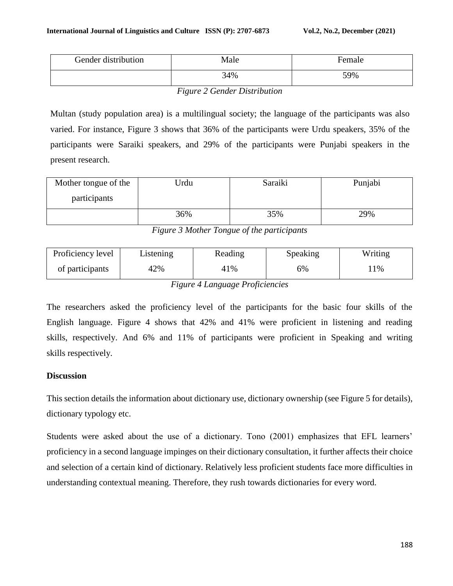| Gender distribution | Male | Female |
|---------------------|------|--------|
|                     | 34%  | 59%    |

*Figure 2 Gender Distribution*

Multan (study population area) is a multilingual society; the language of the participants was also varied. For instance, Figure 3 shows that 36% of the participants were Urdu speakers, 35% of the participants were Saraiki speakers, and 29% of the participants were Punjabi speakers in the present research.

| Mother tongue of the | Urdu | Saraiki | Punjabi |
|----------------------|------|---------|---------|
| participants         |      |         |         |
|                      | 36%  | 35%     | 29%     |

*Figure 3 Mother Tongue of the participants*

| Proficiency level | Listening | Reading | Speaking | Writing |
|-------------------|-----------|---------|----------|---------|
| of participants   | 42%       | 41%     | 6%       | $1\%$   |

*Figure 4 Language Proficiencies*

The researchers asked the proficiency level of the participants for the basic four skills of the English language. Figure 4 shows that 42% and 41% were proficient in listening and reading skills, respectively. And 6% and 11% of participants were proficient in Speaking and writing skills respectively.

# **Discussion**

This section details the information about dictionary use, dictionary ownership (see Figure 5 for details), dictionary typology etc.

Students were asked about the use of a dictionary. Tono (2001) emphasizes that EFL learners' proficiency in a second language impinges on their dictionary consultation, it further affects their choice and selection of a certain kind of dictionary. Relatively less proficient students face more difficulties in understanding contextual meaning. Therefore, they rush towards dictionaries for every word.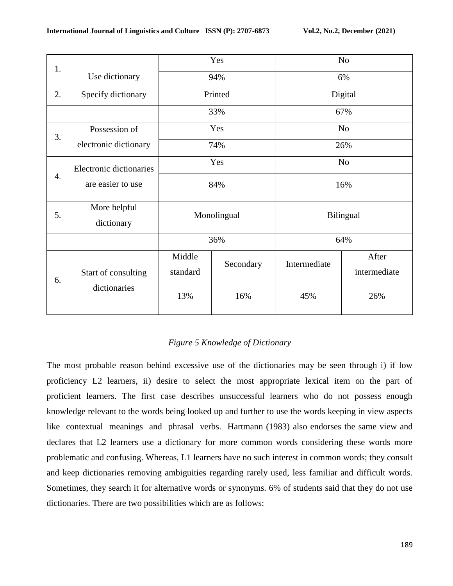| 1.               |                            | Yes                |           | N <sub>o</sub> |                       |  |
|------------------|----------------------------|--------------------|-----------|----------------|-----------------------|--|
|                  | Use dictionary             | 94%                |           | 6%             |                       |  |
| 2.               | Specify dictionary         | Printed            |           | Digital        |                       |  |
|                  |                            | 33%                |           | 67%            |                       |  |
| 3.               | Possession of              | Yes                |           | No             |                       |  |
|                  | electronic dictionary      | 74%                |           | 26%            |                       |  |
|                  | Electronic dictionaries    | Yes                |           | N <sub>o</sub> |                       |  |
| $\overline{4}$ . | are easier to use          | 84%                |           | 16%            |                       |  |
| 5.               | More helpful<br>dictionary | Monolingual        |           | Bilingual      |                       |  |
|                  |                            | 36%                |           | 64%            |                       |  |
| 6.               | Start of consulting        | Middle<br>standard | Secondary | Intermediate   | After<br>intermediate |  |
|                  | dictionaries               | 13%                | 16%       | 45%            | 26%                   |  |

### *Figure 5 Knowledge of Dictionary*

The most probable reason behind excessive use of the dictionaries may be seen through i) if low proficiency L2 learners, ii) desire to select the most appropriate lexical item on the part of proficient learners. The first case describes unsuccessful learners who do not possess enough knowledge relevant to the words being looked up and further to use the words keeping in view aspects like contextual meanings and phrasal verbs. Hartmann (1983) also endorses the same view and declares that L2 learners use a dictionary for more common words considering these words more problematic and confusing. Whereas, L1 learners have no such interest in common words; they consult and keep dictionaries removing ambiguities regarding rarely used, less familiar and difficult words. Sometimes, they search it for alternative words or synonyms. 6% of students said that they do not use dictionaries. There are two possibilities which are as follows: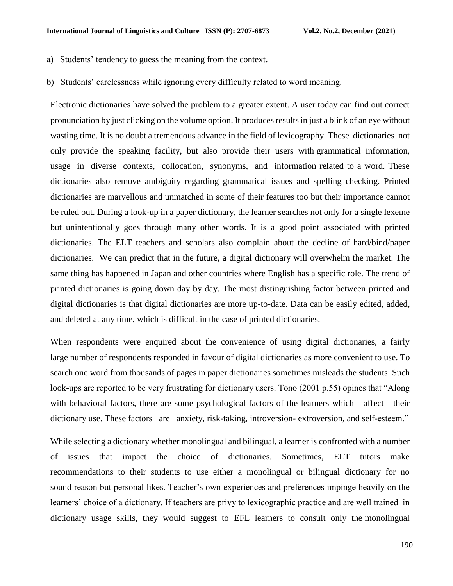- a) Students' tendency to guess the meaning from the context.
- b) Students' carelessness while ignoring every difficulty related to word meaning.

Electronic dictionaries have solved the problem to a greater extent. A user today can find out correct pronunciation by just clicking on the volume option. It produces results in just a blink of an eye without wasting time. It is no doubt a tremendous advance in the field of lexicography. These dictionaries not only provide the speaking facility, but also provide their users with grammatical information, usage in diverse contexts, collocation, synonyms, and information related to a word. These dictionaries also remove ambiguity regarding grammatical issues and spelling checking. Printed dictionaries are marvellous and unmatched in some of their features too but their importance cannot be ruled out. During a look-up in a paper dictionary, the learner searches not only for a single lexeme but unintentionally goes through many other words. It is a good point associated with printed dictionaries. The ELT teachers and scholars also complain about the decline of hard/bind/paper dictionaries. We can predict that in the future, a digital dictionary will overwhelm the market. The same thing has happened in Japan and other countries where English has a specific role. The trend of printed dictionaries is going down day by day. The most distinguishing factor between printed and digital dictionaries is that digital dictionaries are more up-to-date. Data can be easily edited, added, and deleted at any time, which is difficult in the case of printed dictionaries.

When respondents were enquired about the convenience of using digital dictionaries, a fairly large number of respondents responded in favour of digital dictionaries as more convenient to use. To search one word from thousands of pages in paper dictionaries sometimes misleads the students. Such look-ups are reported to be very frustrating for dictionary users. Tono (2001 p.55) opines that "Along with behavioral factors, there are some psychological factors of the learners which affect their dictionary use. These factors are anxiety, risk-taking, introversion- extroversion, and self-esteem."

While selecting a dictionary whether monolingual and bilingual, a learner is confronted with a number of issues that impact the choice of dictionaries. Sometimes, ELT tutors make recommendations to their students to use either a monolingual or bilingual dictionary for no sound reason but personal likes. Teacher's own experiences and preferences impinge heavily on the learners' choice of a dictionary. If teachers are privy to lexicographic practice and are well trained in dictionary usage skills, they would suggest to EFL learners to consult only the monolingual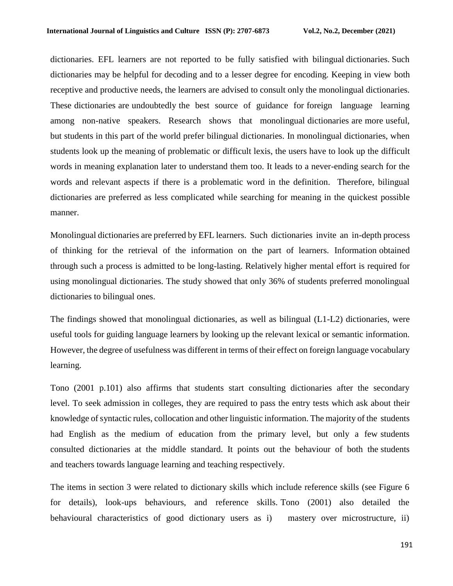dictionaries. EFL learners are not reported to be fully satisfied with bilingual dictionaries. Such dictionaries may be helpful for decoding and to a lesser degree for encoding. Keeping in view both receptive and productive needs, the learners are advised to consult only the monolingual dictionaries. These dictionaries are undoubtedly the best source of guidance for foreign language learning among non-native speakers. Research shows that monolingual dictionaries are more useful, but students in this part of the world prefer bilingual dictionaries. In monolingual dictionaries, when students look up the meaning of problematic or difficult lexis, the users have to look up the difficult words in meaning explanation later to understand them too. It leads to a never-ending search for the words and relevant aspects if there is a problematic word in the definition. Therefore, bilingual dictionaries are preferred as less complicated while searching for meaning in the quickest possible manner.

Monolingual dictionaries are preferred by EFL learners. Such dictionaries invite an in-depth process of thinking for the retrieval of the information on the part of learners. Information obtained through such a process is admitted to be long-lasting. Relatively higher mental effort is required for using monolingual dictionaries. The study showed that only 36% of students preferred monolingual dictionaries to bilingual ones.

The findings showed that monolingual dictionaries, as well as bilingual (L1-L2) dictionaries, were useful tools for guiding language learners by looking up the relevant lexical or semantic information. However, the degree of usefulness was different in terms of their effect on foreign language vocabulary learning.

Tono (2001 p.101) also affirms that students start consulting dictionaries after the secondary level. To seek admission in colleges, they are required to pass the entry tests which ask about their knowledge of syntactic rules, collocation and other linguistic information. The majority of the students had English as the medium of education from the primary level, but only a few students consulted dictionaries at the middle standard. It points out the behaviour of both the students and teachers towards language learning and teaching respectively.

The items in section 3 were related to dictionary skills which include reference skills (see Figure 6 for details), look-ups behaviours, and reference skills. Tono (2001) also detailed the behavioural characteristics of good dictionary users as i) mastery over microstructure, ii)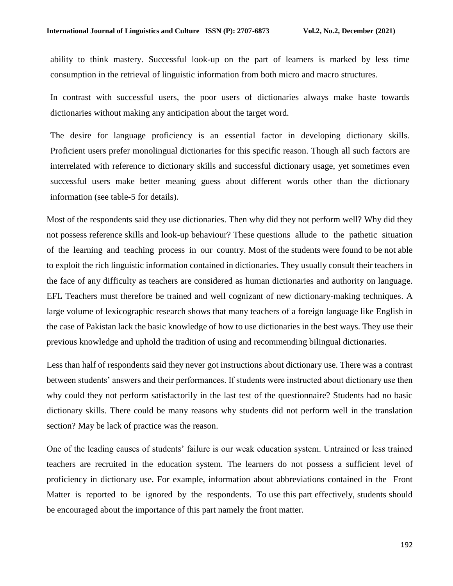ability to think mastery. Successful look-up on the part of learners is marked by less time consumption in the retrieval of linguistic information from both micro and macro structures.

In contrast with successful users, the poor users of dictionaries always make haste towards dictionaries without making any anticipation about the target word.

The desire for language proficiency is an essential factor in developing dictionary skills. Proficient users prefer monolingual dictionaries for this specific reason. Though all such factors are interrelated with reference to dictionary skills and successful dictionary usage, yet sometimes even successful users make better meaning guess about different words other than the dictionary information (see table-5 for details).

Most of the respondents said they use dictionaries. Then why did they not perform well? Why did they not possess reference skills and look-up behaviour? These questions allude to the pathetic situation of the learning and teaching process in our country. Most of the students were found to be not able to exploit the rich linguistic information contained in dictionaries. They usually consult their teachers in the face of any difficulty as teachers are considered as human dictionaries and authority on language. EFL Teachers must therefore be trained and well cognizant of new dictionary-making techniques. A large volume of lexicographic research shows that many teachers of a foreign language like English in the case of Pakistan lack the basic knowledge of how to use dictionaries in the best ways. They use their previous knowledge and uphold the tradition of using and recommending bilingual dictionaries.

Less than half of respondents said they never got instructions about dictionary use. There was a contrast between students' answers and their performances. If students were instructed about dictionary use then why could they not perform satisfactorily in the last test of the questionnaire? Students had no basic dictionary skills. There could be many reasons why students did not perform well in the translation section? May be lack of practice was the reason.

One of the leading causes of students' failure is our weak education system. Untrained or less trained teachers are recruited in the education system. The learners do not possess a sufficient level of proficiency in dictionary use. For example, information about abbreviations contained in the Front Matter is reported to be ignored by the respondents. To use this part effectively, students should be encouraged about the importance of this part namely the front matter.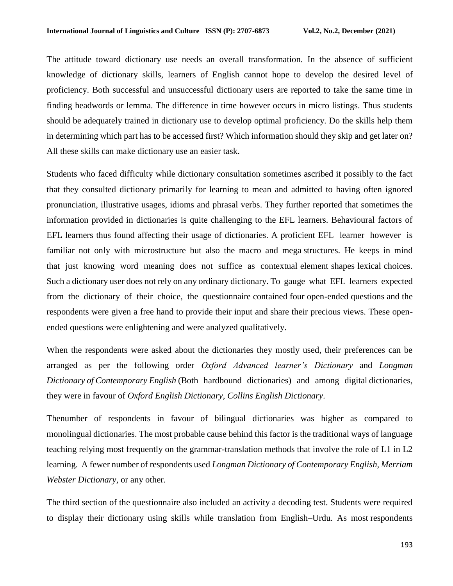The attitude toward dictionary use needs an overall transformation. In the absence of sufficient knowledge of dictionary skills, learners of English cannot hope to develop the desired level of proficiency. Both successful and unsuccessful dictionary users are reported to take the same time in finding headwords or lemma. The difference in time however occurs in micro listings. Thus students should be adequately trained in dictionary use to develop optimal proficiency. Do the skills help them in determining which part has to be accessed first? Which information should they skip and get later on? All these skills can make dictionary use an easier task.

Students who faced difficulty while dictionary consultation sometimes ascribed it possibly to the fact that they consulted dictionary primarily for learning to mean and admitted to having often ignored pronunciation, illustrative usages, idioms and phrasal verbs. They further reported that sometimes the information provided in dictionaries is quite challenging to the EFL learners. Behavioural factors of EFL learners thus found affecting their usage of dictionaries. A proficient EFL learner however is familiar not only with microstructure but also the macro and mega structures. He keeps in mind that just knowing word meaning does not suffice as contextual element shapes lexical choices. Such a dictionary user does not rely on any ordinary dictionary. To gauge what EFL learners expected from the dictionary of their choice, the questionnaire contained four open-ended questions and the respondents were given a free hand to provide their input and share their precious views. These openended questions were enlightening and were analyzed qualitatively.

When the respondents were asked about the dictionaries they mostly used, their preferences can be arranged as per the following order *Oxford Advanced learner's Dictionary* and *Longman Dictionary of Contemporary English* (Both hardbound dictionaries) and among digital dictionaries, they were in favour of *Oxford English Dictionary*, *Collins English Dictionary*.

Thenumber of respondents in favour of bilingual dictionaries was higher as compared to monolingual dictionaries. The most probable cause behind this factor is the traditional ways of language teaching relying most frequently on the grammar-translation methods that involve the role of L1 in L2 learning. A fewer number of respondents used *Longman Dictionary of Contemporary English, Merriam Webster Dictionary*, or any other.

The third section of the questionnaire also included an activity a decoding test. Students were required to display their dictionary using skills while translation from English–Urdu. As most respondents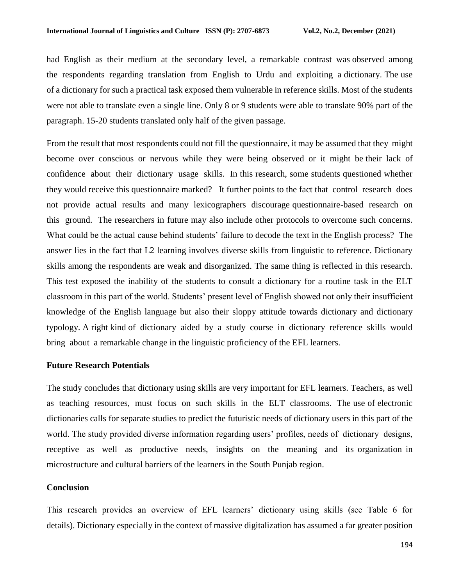had English as their medium at the secondary level, a remarkable contrast was observed among the respondents regarding translation from English to Urdu and exploiting a dictionary. The use of a dictionary for such a practical task exposed them vulnerable in reference skills. Most of the students were not able to translate even a single line. Only 8 or 9 students were able to translate 90% part of the paragraph. 15-20 students translated only half of the given passage.

From the result that most respondents could not fill the questionnaire, it may be assumed that they might become over conscious or nervous while they were being observed or it might be their lack of confidence about their dictionary usage skills. In this research, some students questioned whether they would receive this questionnaire marked? It further points to the fact that control research does not provide actual results and many lexicographers discourage questionnaire-based research on this ground. The researchers in future may also include other protocols to overcome such concerns. What could be the actual cause behind students' failure to decode the text in the English process? The answer lies in the fact that L2 learning involves diverse skills from linguistic to reference. Dictionary skills among the respondents are weak and disorganized. The same thing is reflected in this research. This test exposed the inability of the students to consult a dictionary for a routine task in the ELT classroom in this part of the world. Students' present level of English showed not only their insufficient knowledge of the English language but also their sloppy attitude towards dictionary and dictionary typology. A right kind of dictionary aided by a study course in dictionary reference skills would bring about a remarkable change in the linguistic proficiency of the EFL learners.

#### **Future Research Potentials**

The study concludes that dictionary using skills are very important for EFL learners. Teachers, as well as teaching resources, must focus on such skills in the ELT classrooms. The use of electronic dictionaries calls for separate studies to predict the futuristic needs of dictionary users in this part of the world. The study provided diverse information regarding users' profiles, needs of dictionary designs, receptive as well as productive needs, insights on the meaning and its organization in microstructure and cultural barriers of the learners in the South Punjab region.

#### **Conclusion**

This research provides an overview of EFL learners' dictionary using skills (see Table 6 for details). Dictionary especially in the context of massive digitalization has assumed a far greater position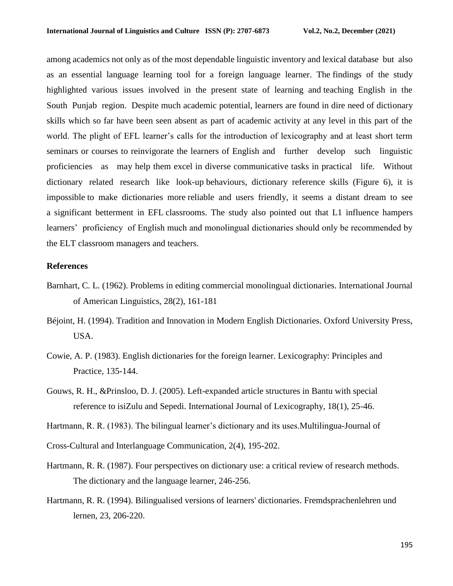among academics not only as of the most dependable linguistic inventory and lexical database but also as an essential language learning tool for a foreign language learner. The findings of the study highlighted various issues involved in the present state of learning and teaching English in the South Punjab region. Despite much academic potential, learners are found in dire need of dictionary skills which so far have been seen absent as part of academic activity at any level in this part of the world. The plight of EFL learner's calls for the introduction of lexicography and at least short term seminars or courses to reinvigorate the learners of English and further develop such linguistic proficiencies as may help them excel in diverse communicative tasks in practical life. Without dictionary related research like look-up behaviours, dictionary reference skills (Figure 6), it is impossible to make dictionaries more reliable and users friendly, it seems a distant dream to see a significant betterment in EFL classrooms. The study also pointed out that L1 influence hampers learners' proficiency of English much and monolingual dictionaries should only be recommended by the ELT classroom managers and teachers.

### **References**

- Barnhart, C. L. (1962). Problems in editing commercial monolingual dictionaries. International Journal of American Linguistics, 28(2), 161-181
- Béjoint, H. (1994). Tradition and Innovation in Modern English Dictionaries. Oxford University Press, USA.
- Cowie, A. P. (1983). English dictionaries for the foreign learner. Lexicography: Principles and Practice, 135-144.
- Gouws, R. H., &Prinsloo, D. J. (2005). Left-expanded article structures in Bantu with special reference to isiZulu and Sepedi. International Journal of Lexicography, 18(1), 25-46.
- Hartmann, R. R. (1983). The bilingual learner's dictionary and its uses.Multilingua-Journal of

Cross-Cultural and Interlanguage Communication, 2(4), 195-202.

- Hartmann, R. R. (1987). Four perspectives on dictionary use: a critical review of research methods. The dictionary and the language learner, 246-256.
- Hartmann, R. R. (1994). Bilingualised versions of learners' dictionaries. Fremdsprachenlehren und lernen, 23, 206-220.